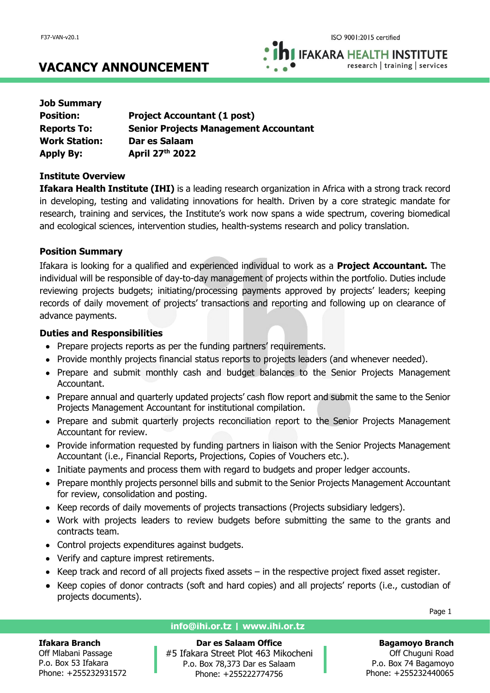**IFAKARA HEALTH INSTITUTE** research | training | services

# **VACANCY ANNOUNCEMENT**

| <b>Job Summary</b>   |                                              |
|----------------------|----------------------------------------------|
| <b>Position:</b>     | <b>Project Accountant (1 post)</b>           |
| <b>Reports To:</b>   | <b>Senior Projects Management Accountant</b> |
| <b>Work Station:</b> | Dar es Salaam                                |
| <b>Apply By:</b>     | April 27th 2022                              |

## **Institute Overview**

**Ifakara Health Institute (IHI)** is a leading research organization in Africa with a strong track record in developing, testing and validating innovations for health. Driven by a core strategic mandate for research, training and services, the Institute's work now spans a wide spectrum, covering biomedical and ecological sciences, intervention studies, health-systems research and policy translation.

# **Position Summary**

Ifakara is looking for a qualified and experienced individual to work as a **Project Accountant.** The individual will be responsible of day-to-day management of projects within the portfolio. Duties include reviewing projects budgets; initiating/processing payments approved by projects' leaders; keeping records of daily movement of projects' transactions and reporting and following up on clearance of advance payments.

## **Duties and Responsibilities**

- Prepare projects reports as per the funding partners' requirements.
- Provide monthly projects financial status reports to projects leaders (and whenever needed).
- Prepare and submit monthly cash and budget balances to the Senior Projects Management Accountant.
- Prepare annual and quarterly updated projects' cash flow report and submit the same to the Senior Projects Management Accountant for institutional compilation.
- Prepare and submit quarterly projects reconciliation report to the Senior Projects Management Accountant for review.
- Provide information requested by funding partners in liaison with the Senior Projects Management Accountant (i.e., Financial Reports, Projections, Copies of Vouchers etc.).
- Initiate payments and process them with regard to budgets and proper ledger accounts.
- Prepare monthly projects personnel bills and submit to the Senior Projects Management Accountant for review, consolidation and posting.
- Keep records of daily movements of projects transactions (Projects subsidiary ledgers).
- Work with projects leaders to review budgets before submitting the same to the grants and contracts team.
- Control projects expenditures against budgets.
- Verify and capture imprest retirements.
- Keep track and record of all projects fixed assets in the respective project fixed asset register.
- Keep copies of donor contracts (soft and hard copies) and all projects' reports (i.e., custodian of projects documents).

#### **Ifakara Branch**

Off Mlabani Passage P.o. Box 53 Ifakara Phone: +255232931572

#### **info@ihi.or.tz | www.ihi.or.tz**

**Dar es Salaam Office** #5 Ifakara Street Plot 463 Mikocheni P.o. Box 78,373 Dar es Salaam Phone: +255222774756

Page 1

# **Bagamoyo Branch**

Off Chuguni Road P.o. Box 74 Bagamoyo Phone: +255232440065